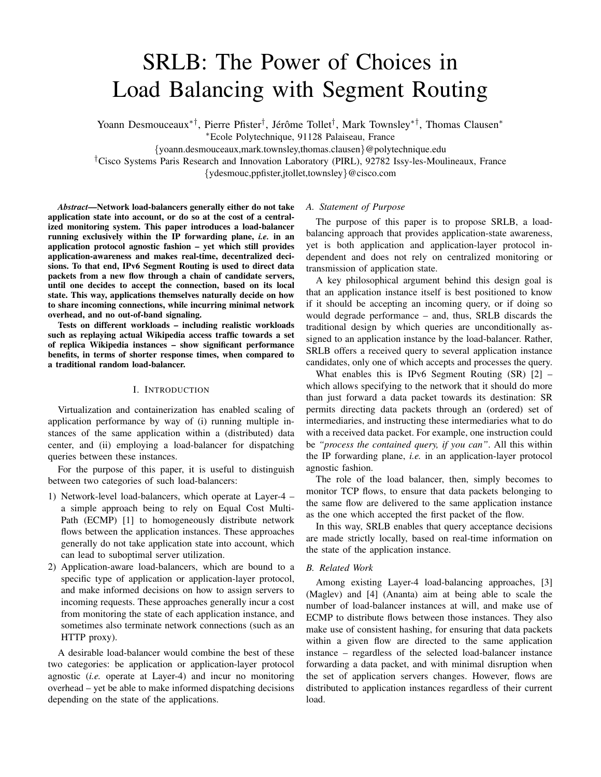# SRLB: The Power of Choices in Load Balancing with Segment Routing

Yoann Desmouceaux<sup>∗†</sup>, Pierre Pfister<sup>†</sup>, Jérôme Tollet<sup>†</sup>, Mark Townsley<sup>∗†</sup>, Thomas Clausen<sup>∗</sup>

<sup>∗</sup>Ecole Polytechnique, 91128 Palaiseau, France

{yoann.desmouceaux,mark.townsley,thomas.clausen}@polytechnique.edu

†Cisco Systems Paris Research and Innovation Laboratory (PIRL), 92782 Issy-les-Moulineaux, France

{ydesmouc,ppfister,jtollet,townsley}@cisco.com

*Abstract*—Network load-balancers generally either do not take application state into account, or do so at the cost of a centralized monitoring system. This paper introduces a load-balancer running exclusively within the IP forwarding plane, *i.e.* in an application protocol agnostic fashion – yet which still provides application-awareness and makes real-time, decentralized decisions. To that end, IPv6 Segment Routing is used to direct data packets from a new flow through a chain of candidate servers, until one decides to accept the connection, based on its local state. This way, applications themselves naturally decide on how to share incoming connections, while incurring minimal network overhead, and no out-of-band signaling.

Tests on different workloads – including realistic workloads such as replaying actual Wikipedia access traffic towards a set of replica Wikipedia instances – show significant performance benefits, in terms of shorter response times, when compared to a traditional random load-balancer.

## I. INTRODUCTION

Virtualization and containerization has enabled scaling of application performance by way of (i) running multiple instances of the same application within a (distributed) data center, and (ii) employing a load-balancer for dispatching queries between these instances.

For the purpose of this paper, it is useful to distinguish between two categories of such load-balancers:

- 1) Network-level load-balancers, which operate at Layer-4 a simple approach being to rely on Equal Cost Multi-Path (ECMP) [1] to homogeneously distribute network flows between the application instances. These approaches generally do not take application state into account, which can lead to suboptimal server utilization.
- 2) Application-aware load-balancers, which are bound to a specific type of application or application-layer protocol, and make informed decisions on how to assign servers to incoming requests. These approaches generally incur a cost from monitoring the state of each application instance, and sometimes also terminate network connections (such as an HTTP proxy).

A desirable load-balancer would combine the best of these two categories: be application or application-layer protocol agnostic (*i.e.* operate at Layer-4) and incur no monitoring overhead – yet be able to make informed dispatching decisions depending on the state of the applications.

# *A. Statement of Purpose*

The purpose of this paper is to propose SRLB, a loadbalancing approach that provides application-state awareness, yet is both application and application-layer protocol independent and does not rely on centralized monitoring or transmission of application state.

A key philosophical argument behind this design goal is that an application instance itself is best positioned to know if it should be accepting an incoming query, or if doing so would degrade performance – and, thus, SRLB discards the traditional design by which queries are unconditionally assigned to an application instance by the load-balancer. Rather, SRLB offers a received query to several application instance candidates, only one of which accepts and processes the query.

What enables this is IPv6 Segment Routing  $(SR)$  [2] – which allows specifying to the network that it should do more than just forward a data packet towards its destination: SR permits directing data packets through an (ordered) set of intermediaries, and instructing these intermediaries what to do with a received data packet. For example, one instruction could be *"process the contained query, if you can"*. All this within the IP forwarding plane, *i.e.* in an application-layer protocol agnostic fashion.

The role of the load balancer, then, simply becomes to monitor TCP flows, to ensure that data packets belonging to the same flow are delivered to the same application instance as the one which accepted the first packet of the flow.

In this way, SRLB enables that query acceptance decisions are made strictly locally, based on real-time information on the state of the application instance.

# *B. Related Work*

Among existing Layer-4 load-balancing approaches, [3] (Maglev) and [4] (Ananta) aim at being able to scale the number of load-balancer instances at will, and make use of ECMP to distribute flows between those instances. They also make use of consistent hashing, for ensuring that data packets within a given flow are directed to the same application instance – regardless of the selected load-balancer instance forwarding a data packet, and with minimal disruption when the set of application servers changes. However, flows are distributed to application instances regardless of their current load.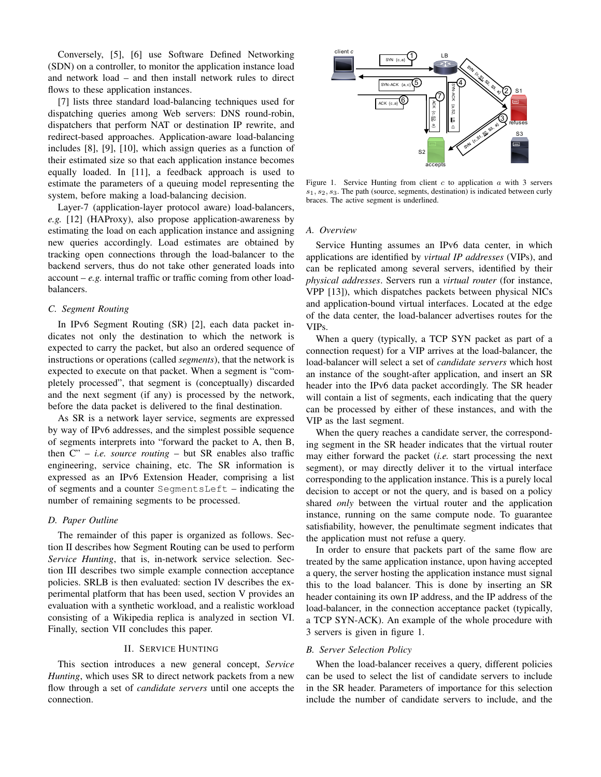Conversely, [5], [6] use Software Defined Networking (SDN) on a controller, to monitor the application instance load and network load – and then install network rules to direct flows to these application instances.

[7] lists three standard load-balancing techniques used for dispatching queries among Web servers: DNS round-robin, dispatchers that perform NAT or destination IP rewrite, and redirect-based approaches. Application-aware load-balancing includes [8], [9], [10], which assign queries as a function of their estimated size so that each application instance becomes equally loaded. In [11], a feedback approach is used to estimate the parameters of a queuing model representing the system, before making a load-balancing decision.

Layer-7 (application-layer protocol aware) load-balancers, *e.g.* [12] (HAProxy), also propose application-awareness by estimating the load on each application instance and assigning new queries accordingly. Load estimates are obtained by tracking open connections through the load-balancer to the backend servers, thus do not take other generated loads into account – *e.g.* internal traffic or traffic coming from other loadbalancers.

# *C. Segment Routing*

In IPv6 Segment Routing (SR) [2], each data packet indicates not only the destination to which the network is expected to carry the packet, but also an ordered sequence of instructions or operations (called *segments*), that the network is expected to execute on that packet. When a segment is "completely processed", that segment is (conceptually) discarded and the next segment (if any) is processed by the network, before the data packet is delivered to the final destination.

As SR is a network layer service, segments are expressed by way of IPv6 addresses, and the simplest possible sequence of segments interprets into "forward the packet to A, then B, then C" – *i.e. source routing* – but SR enables also traffic engineering, service chaining, etc. The SR information is expressed as an IPv6 Extension Header, comprising a list of segments and a counter SegmentsLeft – indicating the number of remaining segments to be processed.

#### *D. Paper Outline*

The remainder of this paper is organized as follows. Section II describes how Segment Routing can be used to perform *Service Hunting*, that is, in-network service selection. Section III describes two simple example connection acceptance policies. SRLB is then evaluated: section IV describes the experimental platform that has been used, section V provides an evaluation with a synthetic workload, and a realistic workload consisting of a Wikipedia replica is analyzed in section VI. Finally, section VII concludes this paper.

# II. SERVICE HUNTING

This section introduces a new general concept, *Service Hunting*, which uses SR to direct network packets from a new flow through a set of *candidate servers* until one accepts the connection.



Figure 1. Service Hunting from client  $c$  to application  $a$  with 3 servers  $s_1, s_2, s_3$ . The path (source, segments, destination) is indicated between curly braces. The active segment is underlined.

#### *A. Overview*

Service Hunting assumes an IPv6 data center, in which applications are identified by *virtual IP addresses* (VIPs), and can be replicated among several servers, identified by their *physical addresses*. Servers run a *virtual router* (for instance, VPP [13]), which dispatches packets between physical NICs and application-bound virtual interfaces. Located at the edge of the data center, the load-balancer advertises routes for the VIPs.

When a query (typically, a TCP SYN packet as part of a connection request) for a VIP arrives at the load-balancer, the load-balancer will select a set of *candidate servers* which host an instance of the sought-after application, and insert an SR header into the IPv6 data packet accordingly. The SR header will contain a list of segments, each indicating that the query can be processed by either of these instances, and with the VIP as the last segment.

When the query reaches a candidate server, the corresponding segment in the SR header indicates that the virtual router may either forward the packet (*i.e.* start processing the next segment), or may directly deliver it to the virtual interface corresponding to the application instance. This is a purely local decision to accept or not the query, and is based on a policy shared *only* between the virtual router and the application instance, running on the same compute node. To guarantee satisfiability, however, the penultimate segment indicates that the application must not refuse a query.

In order to ensure that packets part of the same flow are treated by the same application instance, upon having accepted a query, the server hosting the application instance must signal this to the load balancer. This is done by inserting an SR header containing its own IP address, and the IP address of the load-balancer, in the connection acceptance packet (typically, a TCP SYN-ACK). An example of the whole procedure with 3 servers is given in figure 1.

#### *B. Server Selection Policy*

When the load-balancer receives a query, different policies can be used to select the list of candidate servers to include in the SR header. Parameters of importance for this selection include the number of candidate servers to include, and the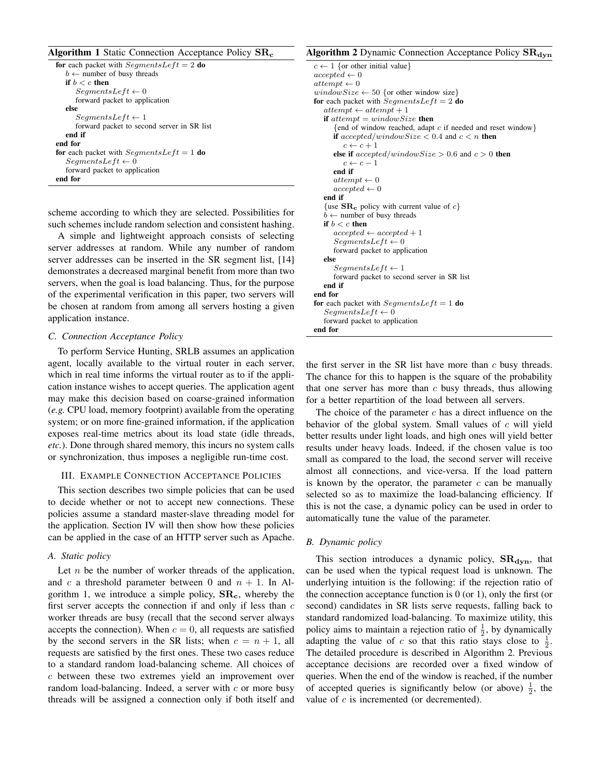#### **Algorithm 1** Static Connection Acceptance Policy  $\text{SR}_c$

```
for each packet with SegmentsLeft = 2 do
   b \leftarrow number of busy threads
   if b < c then
      SegmentsLeft \leftarrow 0forward packet to application
   else
      SegmentsLeft \leftarrow 1forward packet to second server in SR list
   end if
end for
for each packet with SegmentsLeft = 1 do
   SegmentsLeft \leftarrow 0forward packet to application
end for
```
scheme according to which they are selected. Possibilities for such schemes include random selection and consistent hashing.

A simple and lightweight approach consists of selecting server addresses at random. While any number of random server addresses can be inserted in the SR segment list, [14] demonstrates a decreased marginal benefit from more than two servers, when the goal is load balancing. Thus, for the purpose of the experimental verification in this paper, two servers will be chosen at random from among all servers hosting a given application instance.

# *C. Connection Acceptance Policy*

To perform Service Hunting, SRLB assumes an application agent, locally available to the virtual router in each server, which in real time informs the virtual router as to if the application instance wishes to accept queries. The application agent may make this decision based on coarse-grained information (*e.g.* CPU load, memory footprint) available from the operating system; or on more fine-grained information, if the application exposes real-time metrics about its load state (idle threads, *etc.*). Done through shared memory, this incurs no system calls or synchronization, thus imposes a negligible run-time cost.

# III. EXAMPLE CONNECTION ACCEPTANCE POLICIES

This section describes two simple policies that can be used to decide whether or not to accept new connections. These policies assume a standard master-slave threading model for the application. Section IV will then show how these policies can be applied in the case of an HTTP server such as Apache.

# *A. Static policy*

Let  $n$  be the number of worker threads of the application, and c a threshold parameter between 0 and  $n + 1$ . In Algorithm 1, we introduce a simple policy,  $\rm SR_c$ , whereby the first server accepts the connection if and only if less than  $c$ worker threads are busy (recall that the second server always accepts the connection). When  $c = 0$ , all requests are satisfied by the second servers in the SR lists; when  $c = n + 1$ , all requests are satisfied by the first ones. These two cases reduce to a standard random load-balancing scheme. All choices of c between these two extremes yield an improvement over random load-balancing. Indeed, a server with  $c$  or more busy threads will be assigned a connection only if both itself and

# Algorithm 2 Dynamic Connection Acceptance Policy  $\text{SR}_{\text{dyn}}$

 $c \leftarrow 1$  {or other initial value}  $accepted \leftarrow 0$  $attempt \leftarrow 0$ window $Size \leftarrow 50$  {or other window size} for each packet with SegmentsLeft =  $2$  do  $attempt \leftarrow attempt + 1$ if  $attempt = windowSize$  then {end of window reached, adapt c if needed and reset window} if  $accepted/windowSize < 0.4$  and  $c < n$  then  $c \leftarrow c + 1$ else if  $accepted/windowSize > 0.6$  and  $c > 0$  then  $c \leftarrow c - 1$ end if  $attempt \leftarrow 0$  $accepted \leftarrow 0$ end if {use  $\text{SR}_c$  policy with current value of c}  $b \leftarrow$  number of busy threads if  $b < c$  then  $accepted \leftarrow accepted + 1$  $SegmentsLeft \leftarrow 0$ forward packet to application else  $SegmentsLeft \leftarrow 1$ forward packet to second server in SR list end if end for for each packet with  $SegmentsLeft = 1$  do  $SegmentsLeft \leftarrow 0$ forward packet to application end for

the first server in the SR list have more than  $c$  busy threads. The chance for this to happen is the square of the probability that one server has more than  $c$  busy threads, thus allowing for a better repartition of the load between all servers.

The choice of the parameter  $c$  has a direct influence on the behavior of the global system. Small values of c will yield better results under light loads, and high ones will yield better results under heavy loads. Indeed, if the chosen value is too small as compared to the load, the second server will receive almost all connections, and vice-versa. If the load pattern is known by the operator, the parameter  $c$  can be manually selected so as to maximize the load-balancing efficiency. If this is not the case, a dynamic policy can be used in order to automatically tune the value of the parameter.

# *B. Dynamic policy*

This section introduces a dynamic policy,  $\text{SR}_{\text{dyn}}$ , that can be used when the typical request load is unknown. The underlying intuition is the following: if the rejection ratio of the connection acceptance function is  $0$  (or 1), only the first (or second) candidates in SR lists serve requests, falling back to standard randomized load-balancing. To maximize utility, this policy aims to maintain a rejection ratio of  $\frac{1}{2}$ , by dynamically adapting the value of c so that this ratio stays close to  $\frac{1}{2}$ . The detailed procedure is described in Algorithm 2. Previous acceptance decisions are recorded over a fixed window of queries. When the end of the window is reached, if the number of accepted queries is significantly below (or above)  $\frac{1}{2}$ , the value of  $c$  is incremented (or decremented).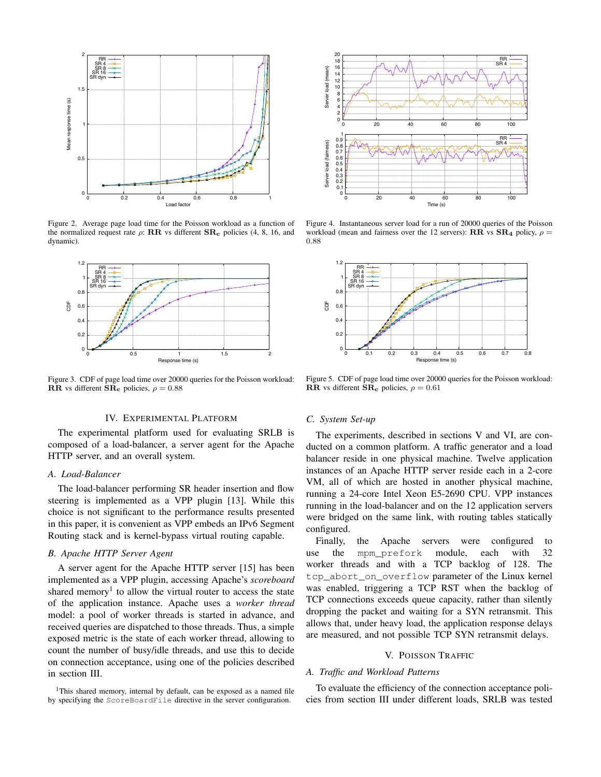

Figure 2. Average page load time for the Poisson workload as a function of the normalized request rate  $\rho$ : RR vs different  $\text{SR}_c$  policies (4, 8, 16, and dynamic).



Figure 3. CDF of page load time over 20000 queries for the Poisson workload: RR vs different  $\overline{\text{SR}}_c$  policies,  $\rho = 0.88$ 

#### IV. EXPERIMENTAL PLATFORM

The experimental platform used for evaluating SRLB is composed of a load-balancer, a server agent for the Apache HTTP server, and an overall system.

#### *A. Load-Balancer*

The load-balancer performing SR header insertion and flow steering is implemented as a VPP plugin [13]. While this choice is not significant to the performance results presented in this paper, it is convenient as VPP embeds an IPv6 Segment Routing stack and is kernel-bypass virtual routing capable.

## *B. Apache HTTP Server Agent*

A server agent for the Apache HTTP server [15] has been implemented as a VPP plugin, accessing Apache's *scoreboard* shared memory<sup>1</sup> to allow the virtual router to access the state of the application instance. Apache uses a *worker thread* model: a pool of worker threads is started in advance, and received queries are dispatched to those threads. Thus, a simple exposed metric is the state of each worker thread, allowing to count the number of busy/idle threads, and use this to decide on connection acceptance, using one of the policies described in section III.

<sup>1</sup>This shared memory, internal by default, can be exposed as a named file by specifying the ScoreBoardFile directive in the server configuration.



Figure 4. Instantaneous server load for a run of 20000 queries of the Poisson workload (mean and fairness over the 12 servers):  $\mathbf{R}\mathbf{R}$  vs  $\mathbf{S}\mathbf{R}_4$  policy,  $\rho =$ 0.88



Figure 5. CDF of page load time over 20000 queries for the Poisson workload: RR vs different  $\overline{\text{SR}}_c$  policies,  $\rho = 0.61$ 

## *C. System Set-up*

The experiments, described in sections V and VI, are conducted on a common platform. A traffic generator and a load balancer reside in one physical machine. Twelve application instances of an Apache HTTP server reside each in a 2-core VM, all of which are hosted in another physical machine, running a 24-core Intel Xeon E5-2690 CPU. VPP instances running in the load-balancer and on the 12 application servers were bridged on the same link, with routing tables statically configured.

Finally, the Apache servers were configured to use the mpm\_prefork module, each with 32 worker threads and with a TCP backlog of 128. The tcp\_abort\_on\_overflow parameter of the Linux kernel was enabled, triggering a TCP RST when the backlog of TCP connections exceeds queue capacity, rather than silently dropping the packet and waiting for a SYN retransmit. This allows that, under heavy load, the application response delays are measured, and not possible TCP SYN retransmit delays.

# V. POISSON TRAFFIC

# *A. Traffic and Workload Patterns*

To evaluate the efficiency of the connection acceptance policies from section III under different loads, SRLB was tested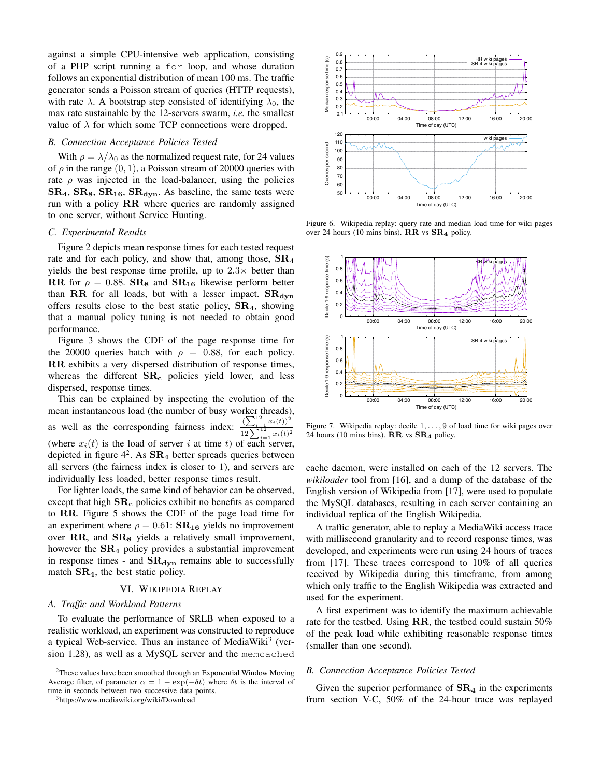against a simple CPU-intensive web application, consisting of a PHP script running a for loop, and whose duration follows an exponential distribution of mean 100 ms. The traffic generator sends a Poisson stream of queries (HTTP requests), with rate  $\lambda$ . A bootstrap step consisted of identifying  $\lambda_0$ , the max rate sustainable by the 12-servers swarm, *i.e.* the smallest value of  $\lambda$  for which some TCP connections were dropped.

#### *B. Connection Acceptance Policies Tested*

With  $\rho = \lambda/\lambda_0$  as the normalized request rate, for 24 values of  $\rho$  in the range  $(0, 1)$ , a Poisson stream of 20000 queries with rate  $\rho$  was injected in the load-balancer, using the policies  $SR_4$ ,  $SR_8$ ,  $SR_{16}$ ,  $SR_{dyn}$ . As baseline, the same tests were run with a policy RR where queries are randomly assigned to one server, without Service Hunting.

#### *C. Experimental Results*

Figure 2 depicts mean response times for each tested request rate and for each policy, and show that, among those,  $\text{SR}_4$ yields the best response time profile, up to  $2.3\times$  better than RR for  $\rho = 0.88$ . SR<sub>8</sub> and SR<sub>16</sub> likewise perform better than RR for all loads, but with a lesser impact.  $SR_{\text{dyn}}$ offers results close to the best static policy,  $SR<sub>4</sub>$ , showing that a manual policy tuning is not needed to obtain good performance.

Figure 3 shows the CDF of the page response time for the 20000 queries batch with  $\rho = 0.88$ , for each policy. RR exhibits a very dispersed distribution of response times, whereas the different  $\text{SR}_c$  policies yield lower, and less dispersed, response times.

This can be explained by inspecting the evolution of the mean instantaneous load (the number of busy worker threads), as well as the corresponding fairness index:  $\frac{\left(\sum_{i=1}^{12} x_i(t)\right)^2}{\sqrt{(\sum_{i=1}^{12} x_i(t))^2}}$  $\frac{12}{12}\sum_{i=1}^{12}x_i(t)^2$ (where  $x_i(t)$  is the load of server i at time t) of each server, depicted in figure  $4^2$ . As  $\text{SR}_4$  better spreads queries between all servers (the fairness index is closer to 1), and servers are individually less loaded, better response times result.

For lighter loads, the same kind of behavior can be observed, except that high  $\text{SR}_c$  policies exhibit no benefits as compared to RR. Figure 5 shows the CDF of the page load time for an experiment where  $\rho = 0.61$ :  $\text{SR}_{16}$  yields no improvement over  $\mathbf{RR}$ , and  $\mathbf{SR}_8$  yields a relatively small improvement, however the  $SR<sub>4</sub>$  policy provides a substantial improvement in response times - and  $\text{SR}_{\text{dyn}}$  remains able to successfully match  $\text{SR}_4$ , the best static policy.

#### VI. WIKIPEDIA REPLAY

#### *A. Traffic and Workload Patterns*

To evaluate the performance of SRLB when exposed to a realistic workload, an experiment was constructed to reproduce a typical Web-service. Thus an instance of MediaWiki<sup>3</sup> (version 1.28), as well as a MySQL server and the memcached

<sup>3</sup>https://www.mediawiki.org/wiki/Download



Figure 6. Wikipedia replay: query rate and median load time for wiki pages over 24 hours (10 mins bins). RR vs  $SR<sub>4</sub>$  policy.



Figure 7. Wikipedia replay: decile  $1, \ldots, 9$  of load time for wiki pages over 24 hours (10 mins bins).  $\mathbf{RR}$  vs  $\mathbf{SR}_4$  policy.

cache daemon, were installed on each of the 12 servers. The *wikiloader* tool from [16], and a dump of the database of the English version of Wikipedia from [17], were used to populate the MySQL databases, resulting in each server containing an individual replica of the English Wikipedia.

A traffic generator, able to replay a MediaWiki access trace with millisecond granularity and to record response times, was developed, and experiments were run using 24 hours of traces from [17]. These traces correspond to 10% of all queries received by Wikipedia during this timeframe, from among which only traffic to the English Wikipedia was extracted and used for the experiment.

A first experiment was to identify the maximum achievable rate for the testbed. Using RR, the testbed could sustain 50% of the peak load while exhibiting reasonable response times (smaller than one second).

#### *B. Connection Acceptance Policies Tested*

Given the superior performance of  $\text{SR}_4$  in the experiments from section V-C, 50% of the 24-hour trace was replayed

<sup>2</sup>These values have been smoothed through an Exponential Window Moving Average filter, of parameter  $\alpha = 1 - \exp(-\delta t)$  where  $\delta t$  is the interval of time in seconds between two successive data points.